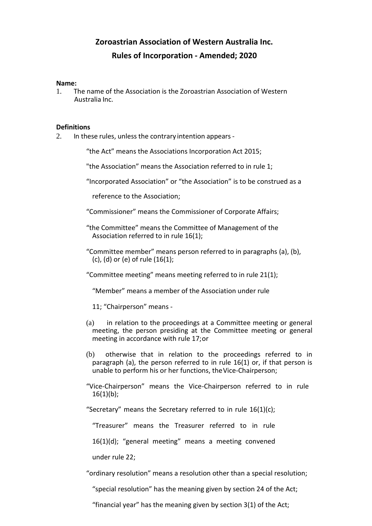# **Zoroastrian Association of Western Australia Inc. Rules of Incorporation - Amended; 2020**

#### **Name:**

1. The name of the Association is the Zoroastrian Association of Western Australia Inc.

# **Definitions**

2. In these rules, unless the contrary intention appears -

"the Act" means the Associations Incorporation Act 2015;

"the Association" means the Association referred to in rule 1;

"Incorporated Association" or "the Association" is to be construed as a

reference to the Association;

- "Commissioner" means the Commissioner of Corporate Affairs;
- "the Committee" means the Committee of Management of the Association referred to in rule 16(1);
- "Committee member" means person referred to in paragraphs (a), (b), (c), (d) or (e) of rule (16(1);
- "Committee meeting" means meeting referred to in rule 21(1);
	- "Member" means a member of the Association under rule

11; "Chairperson" means -

- (a) in relation to the proceedings at a Committee meeting or general meeting, the person presiding at the Committee meeting or general meeting in accordance with rule 17;or
- (b) otherwise that in relation to the proceedings referred to in paragraph (a), the person referred to in rule 16(1) or, if that person is unable to perform his or her functions, theVice-Chairperson;
- "Vice-Chairperson" means the Vice-Chairperson referred to in rule  $16(1)(b)$ ;

"Secretary" means the Secretary referred to in rule  $16(1)(c)$ ;

"Treasurer" means the Treasurer referred to in rule

16(1)(d); "general meeting" means a meeting convened

under rule 22;

"ordinary resolution" means a resolution other than a special resolution;

"special resolution" has the meaning given by section 24 of the Act;

"financial year" has the meaning given by section 3(1) of the Act;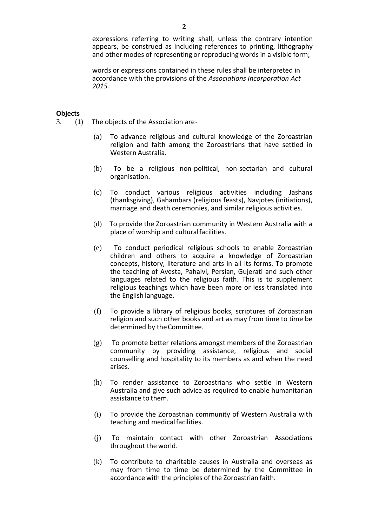expressions referring to writing shall, unless the contrary intention appears, be construed as including references to printing, lithography and other modes of representing or reproducing words in a visible form;

words or expressions contained in these rules shall be interpreted in accordance with the provisions of the *Associations Incorporation Act 2015.*

# **Objects**<br>3. (1)

- 3. (1) The objects of the Association are-
	- (a) To advance religious and cultural knowledge of the Zoroastrian religion and faith among the Zoroastrians that have settled in Western Australia.
	- (b) To be a religious non-political, non-sectarian and cultural organisation.
	- (c) To conduct various religious activities including Jashans (thanksgiving), Gahambars (religious feasts), Navjotes (initiations), marriage and death ceremonies, and similar religious activities.
	- (d) To provide the Zoroastrian community in Western Australia with a place of worship and culturalfacilities.
	- (e) To conduct periodical religious schools to enable Zoroastrian children and others to acquire a knowledge of Zoroastrian concepts, history, literature and arts in all its forms. To promote the teaching of Avesta, Pahalvi, Persian, Gujerati and such other languages related to the religious faith. This is to supplement religious teachings which have been more or less translated into the English language.
	- (f) To provide a library of religious books, scriptures of Zoroastrian religion and such other books and art as may from time to time be determined by theCommittee.
	- (g) To promote better relations amongst members of the Zoroastrian community by providing assistance, religious and social counselling and hospitality to its members as and when the need arises.
	- (h) To render assistance to Zoroastrians who settle in Western Australia and give such advice as required to enable humanitarian assistance to them.
	- (i) To provide the Zoroastrian community of Western Australia with teaching and medical facilities.
	- (j) To maintain contact with other Zoroastrian Associations throughout the world.
	- (k) To contribute to charitable causes in Australia and overseas as may from time to time be determined by the Committee in accordance with the principles of the Zoroastrian faith.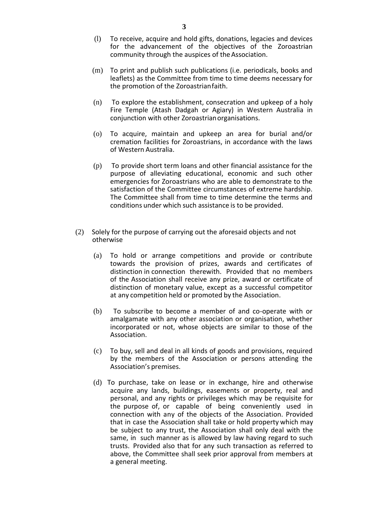- (l) To receive, acquire and hold gifts, donations, legacies and devices for the advancement of the objectives of the Zoroastrian community through the auspices of the Association.
- (m) To print and publish such publications (i.e. periodicals, books and leaflets) as the Committee from time to time deems necessary for the promotion of the Zoroastrianfaith.
- (n) To explore the establishment, consecration and upkeep of a holy Fire Temple (Atash Dadgah or Agiary) in Western Australia in conjunction with other Zoroastrianorganisations.
- (o) To acquire, maintain and upkeep an area for burial and/or cremation facilities for Zoroastrians, in accordance with the laws of Western Australia.
- (p) To provide short term loans and other financial assistance for the purpose of alleviating educational, economic and such other emergencies for Zoroastrians who are able to demonstrate to the satisfaction of the Committee circumstances of extreme hardship. The Committee shall from time to time determine the terms and conditions under which such assistance is to be provided.
- (2) Solely for the purpose of carrying out the aforesaid objects and not otherwise
	- (a) To hold or arrange competitions and provide or contribute towards the provision of prizes, awards and certificates of distinction in connection therewith. Provided that no members of the Association shall receive any prize, award or certificate of distinction of monetary value, except as a successful competitor at any competition held or promoted by the Association.
	- (b) To subscribe to become a member of and co-operate with or amalgamate with any other association or organisation, whether incorporated or not, whose objects are similar to those of the Association.
	- (c) To buy, sell and deal in all kinds of goods and provisions, required by the members of the Association or persons attending the Association's premises.
	- (d) To purchase, take on lease or in exchange, hire and otherwise acquire any lands, buildings, easements or property, real and personal, and any rights or privileges which may be requisite for the purpose of, or capable of being conveniently used in connection with any of the objects of the Association. Provided that in case the Association shall take or hold property which may be subject to any trust, the Association shall only deal with the same, in such manner as is allowed by law having regard to such trusts. Provided also that for any such transaction as referred to above, the Committee shall seek prior approval from members at a general meeting.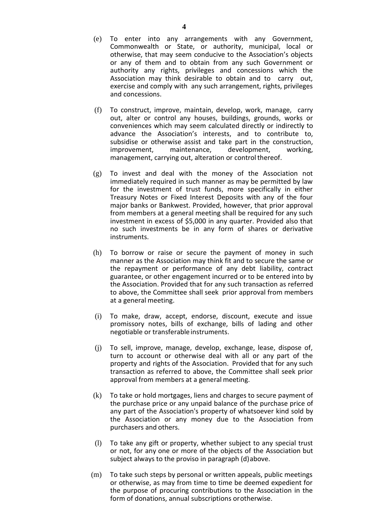- (e) To enter into any arrangements with any Government, Commonwealth or State, or authority, municipal, local or otherwise, that may seem conducive to the Association's objects or any of them and to obtain from any such Government or authority any rights, privileges and concessions which the Association may think desirable to obtain and to carry out, exercise and comply with any such arrangement, rights, privileges and concessions.
- (f) To construct, improve, maintain, develop, work, manage, carry out, alter or control any houses, buildings, grounds, works or conveniences which may seem calculated directly or indirectly to advance the Association's interests, and to contribute to, subsidise or otherwise assist and take part in the construction,<br>improvement. maintenance. development. working. improvement, maintenance, development, working, management, carrying out, alteration or control thereof.
- (g) To invest and deal with the money of the Association not immediately required in such manner as may be permitted by law for the investment of trust funds, more specifically in either Treasury Notes or Fixed Interest Deposits with any of the four major banks or Bankwest. Provided, however, that prior approval from members at a general meeting shall be required for any such investment in excess of \$5,000 in any quarter. Provided also that no such investments be in any form of shares or derivative instruments.
- (h) To borrow or raise or secure the payment of money in such manner as the Association may think fit and to secure the same or the repayment or performance of any debt liability, contract guarantee, or other engagement incurred or to be entered into by the Association. Provided that for any such transaction as referred to above, the Committee shall seek prior approval from members at a general meeting.
- (i) To make, draw, accept, endorse, discount, execute and issue promissory notes, bills of exchange, bills of lading and other negotiable or transferable instruments.
- (j) To sell, improve, manage, develop, exchange, lease, dispose of, turn to account or otherwise deal with all or any part of the property and rights of the Association. Provided that for any such transaction as referred to above, the Committee shall seek prior approval from members at a general meeting.
- (k) To take or hold mortgages, liens and charges to secure payment of the purchase price or any unpaid balance of the purchase price of any part of the Association's property of whatsoever kind sold by the Association or any money due to the Association from purchasers and others.
- (l) To take any gift or property, whether subject to any special trust or not, for any one or more of the objects of the Association but subject always to the proviso in paragraph (d)above.
- (m) To take such steps by personal or written appeals, public meetings or otherwise, as may from time to time be deemed expedient for the purpose of procuring contributions to the Association in the form of donations, annual subscriptions orotherwise.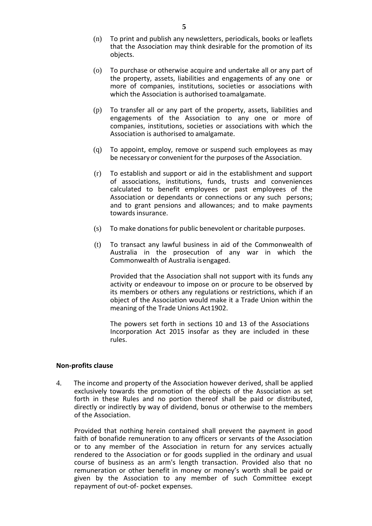- (n) To print and publish any newsletters, periodicals, books or leaflets that the Association may think desirable for the promotion of its objects.
- (o) To purchase or otherwise acquire and undertake all or any part of the property, assets, liabilities and engagements of any one or more of companies, institutions, societies or associations with which the Association is authorised toamalgamate.
- (p) To transfer all or any part of the property, assets, liabilities and engagements of the Association to any one or more of companies, institutions, societies or associations with which the Association is authorised to amalgamate.
- (q) To appoint, employ, remove or suspend such employees as may be necessaryor convenient for the purposes of the Association.
- (r) To establish and support or aid in the establishment and support of associations, institutions, funds, trusts and conveniences calculated to benefit employees or past employees of the Association or dependants or connections or any such persons; and to grant pensions and allowances; and to make payments towards insurance.
- $(s)$  To make donations for public benevolent or charitable purposes.
- (t) To transact any lawful business in aid of the Commonwealth of Australia in the prosecution of any war in which the Commonwealth of Australia isengaged.

Provided that the Association shall not support with its funds any activity or endeavour to impose on or procure to be observed by its members or others any regulations or restrictions, which if an object of the Association would make it a Trade Union within the meaning of the Trade Unions Act1902.

The powers set forth in sections 10 and 13 of the Associations Incorporation Act 2015 insofar as they are included in these rules.

#### **Non-profits clause**

4. The income and property of the Association however derived, shall be applied exclusively towards the promotion of the objects of the Association as set forth in these Rules and no portion thereof shall be paid or distributed, directly or indirectly by way of dividend, bonus or otherwise to the members of the Association.

Provided that nothing herein contained shall prevent the payment in good faith of bonafide remuneration to any officers or servants of the Association or to any member of the Association in return for any services actually rendered to the Association or for goods supplied in the ordinary and usual course of business as an arm's length transaction. Provided also that no remuneration or other benefit in money or money's worth shall be paid or given by the Association to any member of such Committee except repayment of out-of- pocket expenses.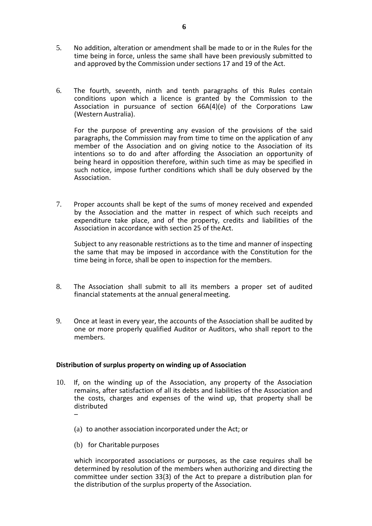- 5. No addition, alteration or amendment shall be made to or in the Rules for the time being in force, unless the same shall have been previously submitted to and approved by the Commission under sections 17 and 19 of the Act.
- 6. The fourth, seventh, ninth and tenth paragraphs of this Rules contain conditions upon which a licence is granted by the Commission to the Association in pursuance of section 66A(4)(e) of the Corporations Law (Western Australia).

For the purpose of preventing any evasion of the provisions of the said paragraphs, the Commission may from time to time on the application of any member of the Association and on giving notice to the Association of its intentions so to do and after affording the Association an opportunity of being heard in opposition therefore, within such time as may be specified in such notice, impose further conditions which shall be duly observed by the Association.

7. Proper accounts shall be kept of the sums of money received and expended by the Association and the matter in respect of which such receipts and expenditure take place, and of the property, credits and liabilities of the Association in accordance with section 25 of theAct.

Subject to any reasonable restrictions as to the time and manner of inspecting the same that may be imposed in accordance with the Constitution for the time being in force, shall be open to inspection for the members.

- 8. The Association shall submit to all its members a proper set of audited financial statements at the annual generalmeeting.
- 9. Once at least in every year, the accounts of the Association shall be audited by one or more properly qualified Auditor or Auditors, who shall report to the members.

# **Distribution of surplus property on winding up of Association**

- 10. If, on the winding up of the Association, any property of the Association remains, after satisfaction of all its debts and liabilities of the Association and the costs, charges and expenses of the wind up, that property shall be distributed
	- (a) to another association incorporated under the Act; or
	- (b) for Charitable purposes

–

which incorporated associations or purposes, as the case requires shall be determined by resolution of the members when authorizing and directing the committee under section 33(3) of the Act to prepare a distribution plan for the distribution of the surplus property of the Association.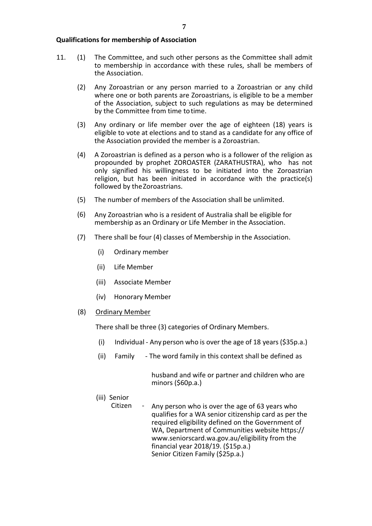- 11. (1) The Committee, and such other persons as the Committee shall admit to membership in accordance with these rules, shall be members of the Association.
	- (2) Any Zoroastrian or any person married to a Zoroastrian or any child where one or both parents are Zoroastrians, is eligible to be a member of the Association, subject to such regulations as may be determined by the Committee from time totime.
	- (3) Any ordinary or life member over the age of eighteen (18) years is eligible to vote at elections and to stand as a candidate for any office of the Association provided the member is a Zoroastrian.
	- (4) A Zoroastrian is defined as a person who is a follower of the religion as propounded by prophet ZOROASTER (ZARATHUSTRA), who has not only signified his willingness to be initiated into the Zoroastrian religion, but has been initiated in accordance with the practice(s) followed by theZoroastrians.
	- (5) The number of members of the Association shall be unlimited.
	- (6) Any Zoroastrian who is a resident of Australia shall be eligible for membership as an Ordinary or Life Member in the Association.
	- (7) There shall be four (4) classes of Membership in the Association.
		- (i) Ordinary member
		- (ii) Life Member
		- (iii) Associate Member
		- (iv) Honorary Member
	- (8) Ordinary Member

There shall be three (3) categories of Ordinary Members.

- (i) Individual Any person who is over the age of 18 years (\$35p.a.)
- (ii) Family The word family in this context shall be defined as

husband and wife or partner and children who are minors (\$60p.a.)

- (iii) Senior
	- Citizen Any person who is over the age of 63 years who qualifies for a WA senior citizenship card as per the required eligibility defined on the Government of WA, Department of Communities website https:// [www.seniorscard.wa.gov.au/eligibility f](http://www.seniorscard.wa.gov.au/eligibility)rom the financial year 2018/19. (\$15p.a.) Senior Citizen Family (\$25p.a.)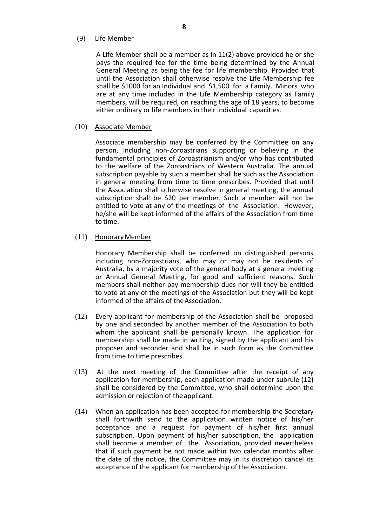# (9) Life Member

A Life Member shall be a member as in 11(2) above provided he or she pays the required fee for the time being determined by the Annual General Meeting as being the fee for life membership. Provided that until the Association shall otherwise resolve the Life Membership fee shall be \$1000 for an Individual and \$1,500 for a Family. Minors who are at any time included in the Life Membership category as Family members, will be required, on reaching the age of 18 years, to become either ordinary or life members in their individual capacities*.*

#### (10) Associate Member

Associate membership may be conferred by the Committee on any person, including non-Zoroastrians supporting or believing in the fundamental principles of Zoroastrianism and/or who has contributed to the welfare of the Zoroastrians of Western Australia. The annual subscription payable by such a member shall be such as the Association in general meeting from time to time prescribes. Provided that until the Association shall otherwise resolve in general meeting, the annual subscription shall be \$20 per member. Such a member will not be entitled to vote at any of the meetings of the Association. However, he/she will be kept informed of the affairs of the Association from time to time.

#### (11) Honorary Member

Honorary Membership shall be conferred on distinguished persons including non-Zoroastrians, who may or may not be residents of Australia, by a majority vote of the general body at a general meeting or Annual General Meeting, for good and sufficient reasons. Such members shall neither pay membership dues nor will they be entitled to vote at any of the meetings of the Association but they will be kept informed of the affairs of theAssociation.

- (12) Every applicant for membership of the Association shall be proposed by one and seconded by another member of the Association to both whom the applicant shall be personally known. The application for membership shall be made in writing, signed by the applicant and his proposer and seconder and shall be in such form as the Committee from time to time prescribes.
- (13) At the next meeting of the Committee after the receipt of any application for membership, each application made under subrule (12) shall be considered by the Committee, who shall determine upon the admission or rejection of theapplicant.
- (14) When an application has been accepted for membership the Secretary shall forthwith send to the application written notice of his/her acceptance and a request for payment of his/her first annual subscription. Upon payment of his/her subscription, the application shall become a member of the Association, provided nevertheless that if such payment be not made within two calendar months after the date of the notice, the Committee may in its discretion cancel its acceptance of the applicant for membership of the Association.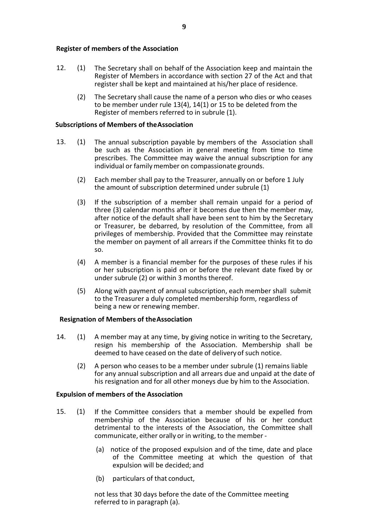# **Register of members of the Association**

- 12. (1) The Secretary shall on behalf of the Association keep and maintain the Register of Members in accordance with section 27 of the Act and that register shall be kept and maintained at his/her place of residence.
	- (2) The Secretary shall cause the name of a person who dies or who ceases to be member under rule 13(4), 14(1) or 15 to be deleted from the Register of members referred to in subrule (1).

# **Subscriptions of Members of theAssociation**

- 13. (1) The annual subscription payable by members of the Association shall be such as the Association in general meeting from time to time prescribes. The Committee may waive the annual subscription for any individual or family member on compassionate grounds.
	- (2) Each member shall pay to the Treasurer, annually on or before 1 July the amount of subscription determined under subrule (1)
	- (3) If the subscription of a member shall remain unpaid for a period of three (3) calendar months after it becomes due then the member may, after notice of the default shall have been sent to him by the Secretary or Treasurer, be debarred, by resolution of the Committee, from all privileges of membership. Provided that the Committee may reinstate the member on payment of all arrears if the Committee thinks fit to do so.
	- (4) A member is a financial member for the purposes of these rules if his or her subscription is paid on or before the relevant date fixed by or under subrule (2) or within 3 months thereof.
	- (5) Along with payment of annual subscription, each member shall submit to the Treasurer a duly completed membership form, regardless of being a new or renewing member.

# **Resignation of Members of theAssociation**

- 14. (1) A member may at any time, by giving notice in writing to the Secretary, resign his membership of the Association. Membership shall be deemed to have ceased on the date of delivery of such notice.
	- (2) A person who ceases to be a member under subrule (1) remains liable for any annual subscription and all arrears due and unpaid at the date of his resignation and for all other moneys due by him to the Association.

# **Expulsion of members of the Association**

- 15. (1) If the Committee considers that a member should be expelled from membership of the Association because of his or her conduct detrimental to the interests of the Association, the Committee shall communicate, either orally or in writing, to the member -
	- (a) notice of the proposed expulsion and of the time, date and place of the Committee meeting at which the question of that expulsion will be decided; and
	- (b) particulars of that conduct,

not less that 30 days before the date of the Committee meeting referred to in paragraph (a).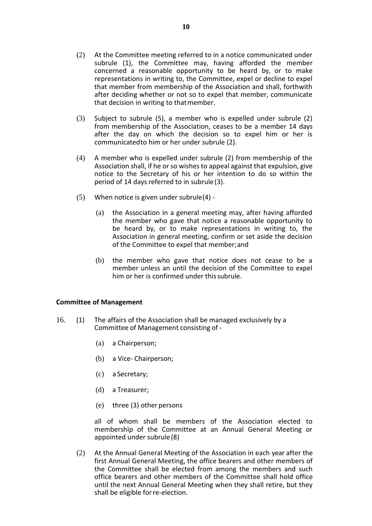- (2) At the Committee meeting referred to in a notice communicated under subrule (1), the Committee may, having afforded the member concerned a reasonable opportunity to be heard by, or to make representations in writing to, the Committee, expel or decline to expel that member from membership of the Association and shall, forthwith after deciding whether or not so to expel that member, communicate that decision in writing to thatmember.
- (3) Subject to subrule (5), a member who is expelled under subrule (2) from membership of the Association, ceases to be a member 14 days after the day on which the decision so to expel him or her is communicatedto him or her under subrule (2).
- (4) A member who is expelled under subrule (2) from membership of the Association shall, if he or so wishes to appeal against that expulsion, give notice to the Secretary of his or her intention to do so within the period of 14 days referred to in subrule(3).
- (5) When notice is given under subrule(4)
	- (a) the Association in a general meeting may, after having afforded the member who gave that notice a reasonable opportunity to be heard by, or to make representations in writing to, the Association in general meeting, confirm or set aside the decision of the Committee to expel that member;and
	- (b) the member who gave that notice does not cease to be a member unless an until the decision of the Committee to expel him or her is confirmed under thissubrule.

# **Committee of Management**

- 16. (1) The affairs of the Association shall be managed exclusively by a Committee of Management consisting of -
	- (a) a Chairperson;
	- (b) a Vice- Chairperson;
	- (c) a Secretary;
	- (d) a Treasurer;
	- (e) three (3) other persons

all of whom shall be members of the Association elected to membership of the Committee at an Annual General Meeting or appointed under subrule(8)

(2) At the Annual General Meeting of the Association in each year after the first Annual General Meeting, the office bearers and other members of the Committee shall be elected from among the members and such office bearers and other members of the Committee shall hold office until the next Annual General Meeting when they shall retire, but they shall be eligible forre-election.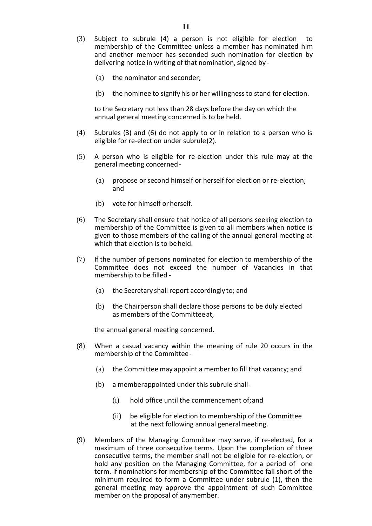- (3) Subject to subrule (4) a person is not eligible for election to membership of the Committee unless a member has nominated him and another member has seconded such nomination for election by delivering notice in writing of that nomination, signed by -
	- (a) the nominator and seconder;
	- (b) the nominee to signify his or her willingnessto stand for election.

to the Secretary not less than 28 days before the day on which the annual general meeting concerned is to be held.

- (4) Subrules (3) and (6) do not apply to or in relation to a person who is eligible for re-election under subrule(2).
- (5) A person who is eligible for re-election under this rule may at the general meeting concerned-
	- (a) propose or second himself or herself for election or re-election; and
	- (b) vote for himself or herself.
- (6) The Secretary shall ensure that notice of all persons seeking election to membership of the Committee is given to all members when notice is given to those members of the calling of the annual general meeting at which that election is to be held.
- (7) If the number of persons nominated for election to membership of the Committee does not exceed the number of Vacancies in that membership to be filled -
	- (a) the Secretary shall report accordingly to; and
	- (b) the Chairperson shall declare those persons to be duly elected as members of the Committeeat,

the annual general meeting concerned.

- (8) When a casual vacancy within the meaning of rule 20 occurs in the membership of the Committee-
	- (a) the Committee may appoint a member to fill that vacancy; and
	- (b) a memberappointed under this subrule shall-
		- (i) hold office until the commencement of;and
		- (ii) be eligible for election to membership of the Committee at the next following annual generalmeeting.
- (9) Members of the Managing Committee may serve, if re-elected, for a maximum of three consecutive terms. Upon the completion of three consecutive terms, the member shall not be eligible for re-election, or hold any position on the Managing Committee, for a period of one term. If nominations for membership of the Committee fall short of the minimum required to form a Committee under subrule (1), then the general meeting may approve the appointment of such Committee member on the proposal of anymember.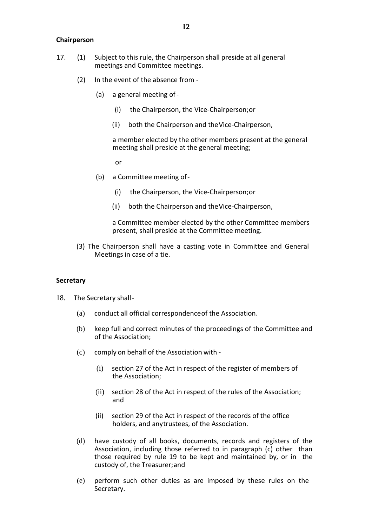# **Chairperson**

- 17. (1) Subject to this rule, the Chairperson shall preside at all general meetings and Committee meetings.
	- (2) In the event of the absence from
		- (a) a general meeting of-
			- (i) the Chairperson, the Vice-Chairperson;or
			- (ii) both the Chairperson and theVice-Chairperson,

a member elected by the other members present at the general meeting shall preside at the general meeting;

or

- (b) a Committee meeting of-
	- (i) the Chairperson, the Vice-Chairperson;or
	- (ii) both the Chairperson and theVice-Chairperson,

a Committee member elected by the other Committee members present, shall preside at the Committee meeting.

(3) The Chairperson shall have a casting vote in Committee and General Meetings in case of a tie.

#### **Secretary**

- 18. The Secretary shall-
	- (a) conduct all official correspondenceof the Association.
	- (b) keep full and correct minutes of the proceedings of the Committee and of the Association;
	- (c) comply on behalf of the Association with
		- (i) section 27 of the Act in respect of the register of members of the Association;
		- (ii) section 28 of the Act in respect of the rules of the Association; and
		- (ii) section 29 of the Act in respect of the records of the office holders, and anytrustees, of the Association.
	- (d) have custody of all books, documents, records and registers of the Association, including those referred to in paragraph (c) other than those required by rule 19 to be kept and maintained by, or in the custody of, the Treasurer;and
	- (e) perform such other duties as are imposed by these rules on the Secretary.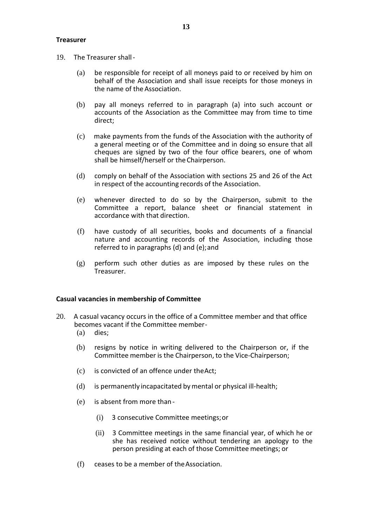# **Treasurer**

- 19. The Treasurer shall-
	- (a) be responsible for receipt of all moneys paid to or received by him on behalf of the Association and shall issue receipts for those moneys in the name of the Association.
	- (b) pay all moneys referred to in paragraph (a) into such account or accounts of the Association as the Committee may from time to time direct;
	- (c) make payments from the funds of the Association with the authority of a general meeting or of the Committee and in doing so ensure that all cheques are signed by two of the four office bearers, one of whom shall be himself/herself or the Chairperson.
	- (d) comply on behalf of the Association with sections 25 and 26 of the Act in respect of the accounting records of the Association.
	- (e) whenever directed to do so by the Chairperson, submit to the Committee a report, balance sheet or financial statement in accordance with that direction.
	- (f) have custody of all securities, books and documents of a financial nature and accounting records of the Association, including those referred to in paragraphs (d) and (e);and
	- (g) perform such other duties as are imposed by these rules on the Treasurer.

#### **Casual vacancies in membership of Committee**

- 20. A casual vacancy occurs in the office of a Committee member and that office becomes vacant if the Committee member-
	- (a) dies;
	- (b) resigns by notice in writing delivered to the Chairperson or, if the Committee member is the Chairperson, to the Vice-Chairperson;
	- (c) is convicted of an offence under theAct;
	- (d) is permanently incapacitated bymental or physical ill-health;
	- (e) is absent from more than
		- (i) 3 consecutive Committee meetings;or
		- (ii) 3 Committee meetings in the same financial year, of which he or she has received notice without tendering an apology to the person presiding at each of those Committee meetings; or
	- (f) ceases to be a member of theAssociation.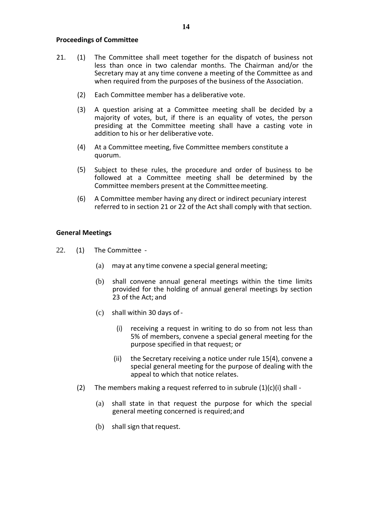# **Proceedings of Committee**

- 21. (1) The Committee shall meet together for the dispatch of business not less than once in two calendar months. The Chairman and/or the Secretary may at any time convene a meeting of the Committee as and when required from the purposes of the business of the Association.
	- (2) Each Committee member has a deliberative vote.
	- (3) A question arising at a Committee meeting shall be decided by a majority of votes, but, if there is an equality of votes, the person presiding at the Committee meeting shall have a casting vote in addition to his or her deliberative vote.
	- (4) At a Committee meeting, five Committee members constitute a quorum.
	- (5) Subject to these rules, the procedure and order of business to be followed at a Committee meeting shall be determined by the Committee members present at the Committeemeeting.
	- (6) A Committee member having any direct or indirect pecuniary interest referred to in section 21 or 22 of the Act shall comply with that section.

# **General Meetings**

- 22. (1) The Committee
	- (a) may at any time convene a special general meeting;
	- (b) shall convene annual general meetings within the time limits provided for the holding of annual general meetings by section 23 of the Act; and
	- (c) shall within 30 days of-
		- (i) receiving a request in writing to do so from not less than 5% of members, convene a special general meeting for the purpose specified in that request; or
		- (ii) the Secretary receiving a notice under rule 15(4), convene a special general meeting for the purpose of dealing with the appeal to which that notice relates.
	- (2) The members making a request referred to in subrule  $(1)(c)(i)$  shall -
		- (a) shall state in that request the purpose for which the special general meeting concerned is required;and
		- (b) shall sign that request.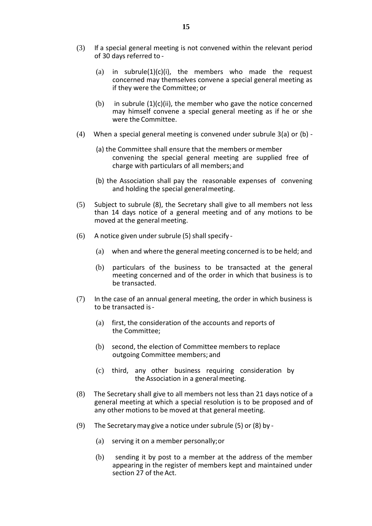- (3) If a special general meeting is not convened within the relevant period of 30 days referred to -
	- (a) in subrule(1)(c)(i), the members who made the request concerned may themselves convene a special general meeting as if they were the Committee; or
	- (b) in subrule  $(1)(c)(ii)$ , the member who gave the notice concerned may himself convene a special general meeting as if he or she were the Committee.
- (4) When a special general meeting is convened under subrule 3(a) or (b)
	- (a) the Committee shall ensure that the members or member convening the special general meeting are supplied free of charge with particulars of all members;and
	- (b) the Association shall pay the reasonable expenses of convening and holding the special generalmeeting.
- (5) Subject to subrule (8), the Secretary shall give to all members not less than 14 days notice of a general meeting and of any motions to be moved at the general meeting.
- $(6)$  A notice given under subrule (5) shall specify -
	- (a) when and where the general meeting concerned is to be held; and
	- (b) particulars of the business to be transacted at the general meeting concerned and of the order in which that business is to be transacted.
- (7) In the case of an annual general meeting, the order in which business is to be transacted is-
	- (a) first, the consideration of the accounts and reports of the Committee;
	- (b) second, the election of Committee members to replace outgoing Committee members; and
	- (c) third, any other business requiring consideration by the Association in a general meeting.
- (8) The Secretary shall give to all members not less than 21 days notice of a general meeting at which a special resolution is to be proposed and of any other motions to be moved at that general meeting.
- (9) The Secretarymay give a notice under subrule (5) or (8) by
	- (a) serving it on a member personally;or
	- (b) sending it by post to a member at the address of the member appearing in the register of members kept and maintained under section 27 of the Act.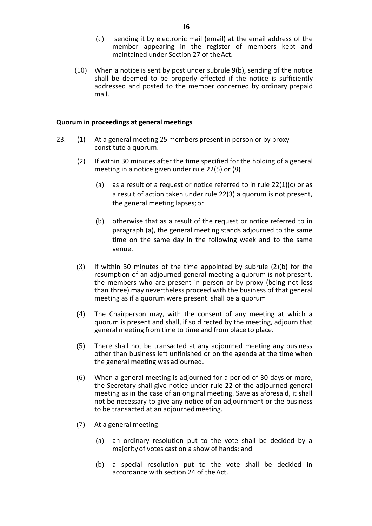- (c) sending it by electronic mail (email) at the email address of the member appearing in the register of members kept and maintained under Section 27 of theAct.
- (10) When a notice is sent by post under subrule 9(b), sending of the notice shall be deemed to be properly effected if the notice is sufficiently addressed and posted to the member concerned by ordinary prepaid mail.

# **Quorum in proceedings at general meetings**

- 23. (1) At a general meeting 25 members present in person or by proxy constitute a quorum.
	- (2) If within 30 minutes after the time specified for the holding of a general meeting in a notice given under rule 22(5) or (8)
		- (a) as a result of a request or notice referred to in rule  $22(1)(c)$  or as a result of action taken under rule 22(3) a quorum is not present, the general meeting lapses;or
		- (b) otherwise that as a result of the request or notice referred to in paragraph (a), the general meeting stands adjourned to the same time on the same day in the following week and to the same venue.
	- (3) If within 30 minutes of the time appointed by subrule  $(2)(b)$  for the resumption of an adjourned general meeting a quorum is not present, the members who are present in person or by proxy (being not less than three) may nevertheless proceed with the business of that general meeting as if a quorum were present. shall be a quorum
	- (4) The Chairperson may, with the consent of any meeting at which a quorum is present and shall, if so directed by the meeting, adjourn that general meeting from time to time and from place to place.
	- (5) There shall not be transacted at any adjourned meeting any business other than business left unfinished or on the agenda at the time when the general meeting was adjourned.
	- (6) When a general meeting is adjourned for a period of 30 days or more, the Secretary shall give notice under rule 22 of the adjourned general meeting as in the case of an original meeting. Save as aforesaid, it shall not be necessary to give any notice of an adjournment or the business to be transacted at an adjournedmeeting.
	- (7) At a general meeting
		- (a) an ordinary resolution put to the vote shall be decided by a majorityof votes cast on a show of hands; and
		- (b) a special resolution put to the vote shall be decided in accordance with section 24 of the Act.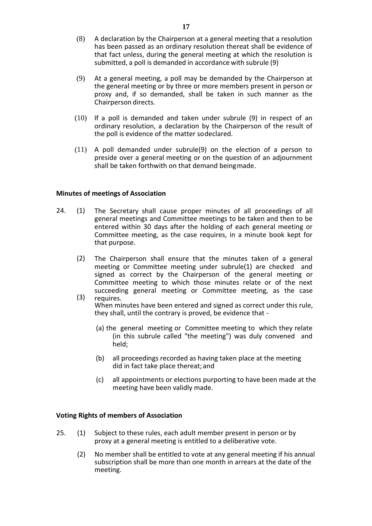- (8) A declaration by the Chairperson at a general meeting that a resolution has been passed as an ordinary resolution thereat shall be evidence of that fact unless, during the general meeting at which the resolution is submitted, a poll is demanded in accordance with subrule (9)
- (9) At a general meeting, a poll may be demanded by the Chairperson at the general meeting or by three or more members present in person or proxy and, if so demanded, shall be taken in such manner as the Chairperson directs.
- (10) If a poll is demanded and taken under subrule (9) in respect of an ordinary resolution, a declaration by the Chairperson of the result of the poll is evidence of the matter sodeclared.
- (11) A poll demanded under subrule(9) on the election of a person to preside over a general meeting or on the question of an adjournment shall be taken forthwith on that demand beingmade.

# **Minutes of meetings of Association**

- 24. (1) The Secretary shall cause proper minutes of all proceedings of all general meetings and Committee meetings to be taken and then to be entered within 30 days after the holding of each general meeting or Committee meeting, as the case requires, in a minute book kept for that purpose.
	- (2) The Chairperson shall ensure that the minutes taken of a general meeting or Committee meeting under subrule(1) are checked and signed as correct by the Chairperson of the general meeting or Committee meeting to which those minutes relate or of the next succeeding general meeting or Committee meeting, as the case
	- (3) requires. When minutes have been entered and signed as correct under this rule, they shall, until the contrary is proved, be evidence that -
		- (a) the general meeting or Committee meeting to which they relate (in this subrule called "the meeting") was duly convened and held;
		- (b) all proceedings recorded as having taken place at the meeting did in fact take place thereat; and
		- (c) all appointments or elections purporting to have been made at the meeting have been validly made.

# **Voting Rights of members of Association**

- 25. (1) Subject to these rules, each adult member present in person or by proxy at a general meeting is entitled to a deliberative vote.
	- (2) No member shall be entitled to vote at any general meeting if his annual subscription shall be more than one month in arrears at the date of the meeting.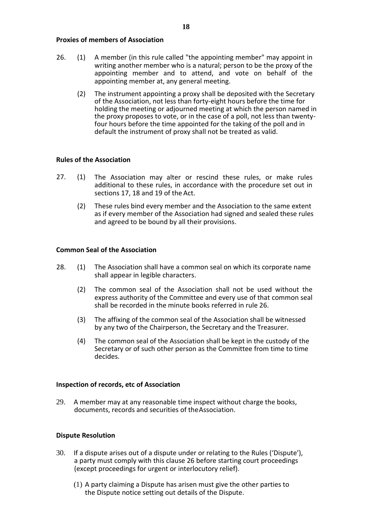# **Proxies of members of Association**

- 26. (1) A member (in this rule called "the appointing member" may appoint in writing another member who is a natural; person to be the proxy of the appointing member and to attend, and vote on behalf of the appointing member at, any general meeting.
	- (2) The instrument appointing a proxy shall be deposited with the Secretary of the Association, not less than forty-eight hours before the time for holding the meeting or adjourned meeting at which the person named in the proxy proposes to vote, or in the case of a poll, not less than twentyfour hours before the time appointed for the taking of the poll and in default the instrument of proxy shall not be treated as valid.

# **Rules of the Association**

- 27. (1) The Association may alter or rescind these rules, or make rules additional to these rules, in accordance with the procedure set out in sections 17, 18 and 19 of the Act.
	- (2) These rules bind every member and the Association to the same extent as if every member of the Association had signed and sealed these rules and agreed to be bound by all their provisions.

# **Common Seal of the Association**

- 28. (1) The Association shall have a common seal on which its corporate name shall appear in legible characters.
	- (2) The common seal of the Association shall not be used without the express authority of the Committee and every use of that common seal shall be recorded in the minute books referred in rule 26.
	- (3) The affixing of the common seal of the Association shall be witnessed by any two of the Chairperson, the Secretary and the Treasurer.
	- (4) The common seal of the Association shall be kept in the custody of the Secretary or of such other person as the Committee from time to time decides.

# **Inspection of records, etc of Association**

29. A member may at any reasonable time inspect without charge the books, documents, records and securities of theAssociation.

# **Dispute Resolution**

- 30. If a dispute arises out of a dispute under or relating to the Rules ('Dispute'), a party must comply with this clause 26 before starting court proceedings (except proceedings for urgent or interlocutory relief).
	- (1) A party claiming a Dispute has arisen must give the other parties to the Dispute notice setting out details of the Dispute.